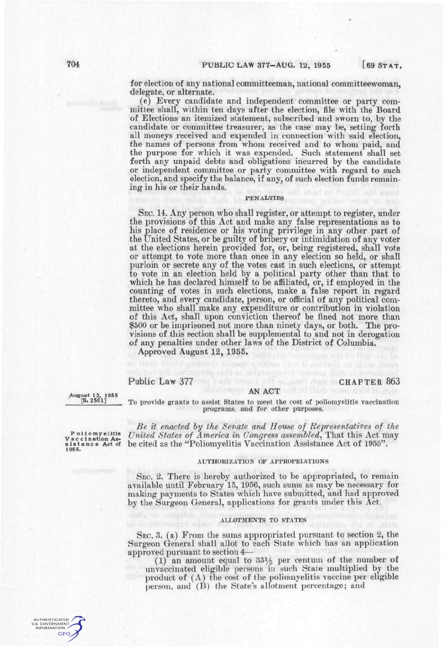for election of any national committeeman, national committeewoman, delegate, or alternate.

(e) Every candidate and independent committee or party committee shall, within ten days after the election, file with the Board of Elections an itemized statement, subscribed and sworn to, by the candidate or committee treasurer, as the case may be, setting forth all moneys received and expended in connection with said election, the names of persons from whom received and to whom paid, and the purpose for which it was expended. Such statement shall set forth any unpaid debts and obligations incurred by the candidate or independent committee or party committee with regard to such election, and specify the balance, if any, of such election funds remaining in his or their hands.

## PENALTIES

SEC. 14. Any person who shall register, or attempt to register, under the provisions of this Act and make any false representations as to his place of residence or his voting privilege in any other part of the United States, or be guilty of bribery or intimidation of any voter at the elections herein provided for, or, being registered, shall vote or attempt to vote more than once in any election so held, or shall purloin or secrete any of the votes cast in such elections, or attempt to vote in an election held by a political party other than that to which he has declared himself to be affiliated, or, if employed in the counting of votes in such elections, make a false report in regard thereto, and every candidate, person, or official of any political committee who shall make any expenditure or contribution in violation of this Act, shall upon conviction thereof be fined not more than \$500 or be imprisoned not more than ninety days, or both. The provisions of this section shall be supplemental to and not in derogation of any penalties under other laws of the District of Columbia.

Approved August 12, 1955.

Public Law 377 CHAPTER 863

## **AN ACT of the lands** and

August 12, 1955 [S. 2501]

To provide grants to assist States to meet the cost of poliomyelitis vaccination programs, and for other purposes.

Poliomyelitis<br>Vaccination Assistance Act of<br>1955.

*Be it enacted hy the Senate and Flouse of Representatives of the United States of America in Congress assembled,* That this Act may be cited as the "Poliomyelitis Vaccination Assistance Act of 1955".

## AUTHORIZATION OF APPROPRIATIONS

SEC. 2. There is hereby authorized to be appropriated, to remain available until February 15, 1956, such sums as may be necessary for making payments to States which have submitted, and had approved by the Surgeon General, applications for grants under this Act.

#### ALLOTMENTS TO STATES

SEC. 3. (a) From the sums appropriated pursuant to section 2, the Surgeon General shall allot to each State which has an application approved pursuant to section 4—

 $(1)$  an amount equal to  $33\frac{1}{3}$  per centum of the number of unvaccinated eligible persons in such State multiplied by the product of  $(A)$  the cost of the poliomyelitis vaccine per eligible person, and (B) the State's allotment percentage; and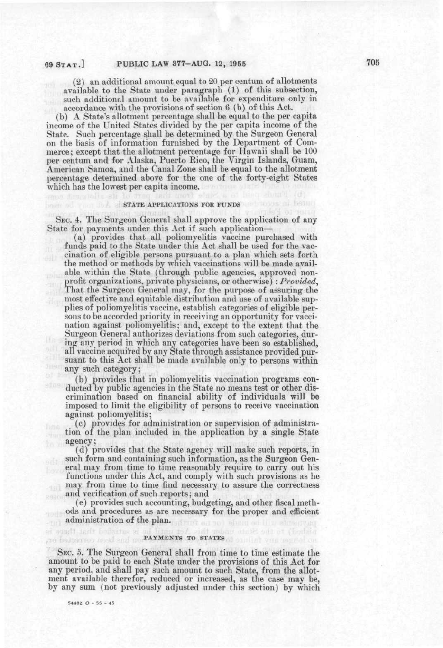(2) an additional amount equal to 20 per centum of allotments available to the State under paragraph (1) of this subsection, such additional amount to be available for expenditure only in accordance with the provisions of section 6 (b) of this Act.

(b) A State's allotment percentage shall be equal to the per capita income of the United States divided by the per capita income of the State. Such percentage shall be determined by the Surgeon General on the basis of information furnished by the Department of Commerce ; except that the allotment percentage for Hawaii shall be 100 per centum and for Alaska, Puerto Rico, the Virgin Islands, Guam, American Samoa, and the Canal Zone shall be equal to the allotment percentage determined above for the one of the forty-eight States which has the lowest per capita income.

## STATE APPLICATIONS FOR FUNDS

SEC. 4. The Surgeon General shall approve the application of any State for payments under this Act if such application—

(a) provides that all poliomyelitis vaccine purchased with funds paid to the State under this Act shall be used for the vaccination of eligible persons pursuant to a plan which sets forth the method or methods by which vaccinations will be made available within the State (through public agencies, approved nonprofit organizations, private physicians, or otherwise) : *Provided,*  That the Surgeon General may, for the purpose of assuring the most effective and equitable distribution and use of available supplies of poliomyelitis vaccine, establish categories of eligible persons to be accorded priority in receiving an opportunity for vaccination against poliomyelitis; and, except to the extent that the Surgeon General authorizes deviations from such categories, during any period in which any categories have been so established, all vaccine acquired by any State through assistance provided pursuant to this Act shall be made available only to persons within any such category;

(b) provides that in poliomyelitis vaccination programs conducted by public agencies in the State no means test or other discrimination based on financial ability of individuals will be imposed to limit the eligibility of persons to receive vaccination against poliomyelitis;

(c) provides for administration or supervision of administration of the plan included in the application by a single State agency;

(d) provides that the State agency will make such reports, in such form and containing such information, as the Surgeon General may from time to time reasonably require to carry out his functions under this Act, and comply with such provisions as he may from time to time find necessary to assure the correctness and verification of such reports; and

(e) provides such accounting, budgeting, and other fiscal methods and procedures as are necessary for the proper and efficient administration of the plan.

## TO below to head and me PAYMENTS TO STATES and in the re-

SEC. 5. The Surgeon General shall from time to time estimate the amount to be paid to each State under the provisions of this Act for any period, and shall pay such amount to such State, from the allotment available therefor, reduced or increased, as the case may be, by any sum (not previously adjusted under this section) by which

evad! Lot! bedactus al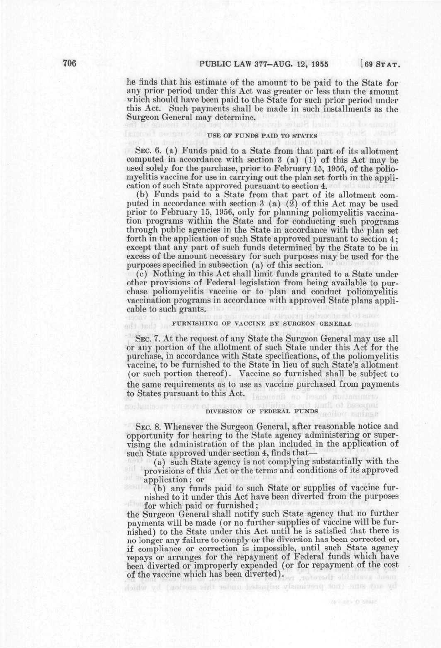he finds that his estimate of the amount to be paid to the State for any prior period under this Act was greater or less than the amount which should have been paid to the State for such prior period under this Act. Such payments shall be made in such installments as the Surgeon General may determine.

## USE OF FUNDS PAID TO STATES

SEC. 6. (a) Funds paid to a State from that part of its allotment computed in accordance with section 3 (a) (1) of this Act may be used solely for the purchase, prior to February 15, 1956, of the poliomyelitis vaccine for use in carrying out the plan set forth in the application of such State approved pursuant to section 4.

(b) Funds paid to a State from that part of its allotment computed in accordance with section  $3$  (a) (2) of this Act may be used prior to February 15, 1956, only for planning poliomyelitis vaccination programs within the State and for conducting such programs through public agencies in the State in accordance with the plan set forth in the application of such State approved pursuant to section 4; except that any part of such funds determined by the State to be in excess of the amount necessary for such purposes may be used for the purposes specified in subsection (a) of this section.

(c) Nothing in this Act shall limit funds granted to a State under other provisions of Federal legislation from being available to purchase poliomyelitis vaccine or to plan and conduct poliomyelitis vaccination programs in accordance with approved State plans applicable to such grants.

## FURNISHING OF VACCINE BY SURGEON GENERAL

SEC. 7. At the request of any State the Surgeon General may use all or any portion of the allotment of such State under this Act for the purchase, in accordance with State specifications, of the poliomyelitis vaccine, to be furnished to the State in lieu of such State's allotment (or such portion thereof). Vaccine so furnished shall be subject to the same requirements as to use as vaccine purchased from payments to States pursuant to this Act.

## DIVERSION OF FEDERAL FUNDS (ANDERS ENTIRES)

SEC. 8. Whenever the Surgeon General, after reasonable notice and opportunity for hearing to the State agency administering or supervising the administration of the plan included in the application of such State approved under section 4, finds that—

(a) such State agency is not complying substantially with the provisions of this Act or the terms and conditions of its approved application; or

(b) any funds paid to such State or supplies of vaccine furnished to it under this Act have been diverted from the purposes for which paid or furnished;

the Surgeon General shall notify such State agency that no further payments will be made (or no further supplies of vaccine will be furnished) to the State under this Act until he is satisfied that there is no longer any failure to comply or the diversion has been corrected or, if compliance or correction is impossible, until such State agency repays or arranges for the repayment of Federal funds which have been diverted or improperly expended (or for repayment of the cost of the vaccine which has been diverted). ment available therefor,

by any sum (not previously adjusted outder this section) by which